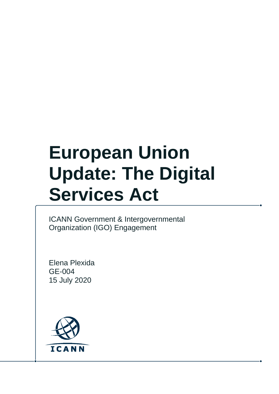# **European Union Update: The Digital Services Act**

ICANN Government & Intergovernmental Organization (IGO) Engagement

Elena Plexida GE-004 15 July 2020

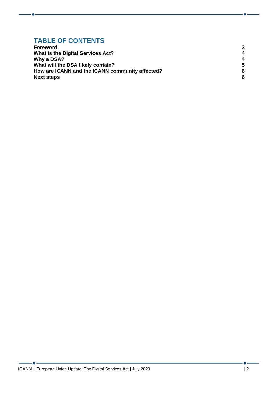#### **TABLE OF CONTENTS**

| <b>Foreword</b>                                 | 3 |
|-------------------------------------------------|---|
| What is the Digital Services Act?               | 4 |
| Why a DSA?                                      | 4 |
| What will the DSA likely contain?               | 5 |
| How are ICANN and the ICANN community affected? | 6 |
| <b>Next steps</b>                               | 6 |

- 6 -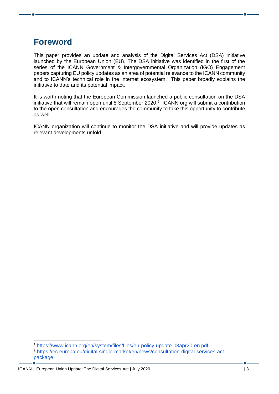### <span id="page-2-0"></span>**Foreword**

This paper provides an update and analysis of the Digital Services Act (DSA) initiative launched by the European Union (EU). The DSA initiative was identified in the first of the series of the ICANN Government & Intergovernmental Organization (IGO) Engagement papers capturing EU policy updates as an area of potential relevance to the ICANN community and to ICANN's technical role in the Internet ecosystem.<sup>1</sup> This paper broadly explains the initiative to date and its potential impact.

It is worth noting that the European Commission launched a public consultation on the DSA initiative that will remain open until 8 September 2020. $2$  ICANN org will submit a contribution to the open consultation and encourages the community to take this opportunity to contribute as well.

ICANN organization will continue to monitor the DSA initiative and will provide updates as relevant developments unfold.

<sup>1</sup> <https://www.icann.org/en/system/files/files/eu-policy-update-03apr20-en.pdf>

<sup>2</sup> [https://ec.europa.eu/digital-single-market/en/news/consultation-digital-services-act](https://ec.europa.eu/digital-single-market/en/news/consultation-digital-services-act-package)[package](https://ec.europa.eu/digital-single-market/en/news/consultation-digital-services-act-package)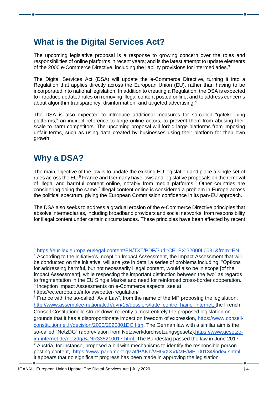## <span id="page-3-0"></span>**What is the Digital Services Act?**

The upcoming legislative proposal is a response to growing concern over the roles and responsibilities of online platforms in recent years; and is the latest attempt to update elements of the 2000 e-Commerce Directive, including the liability provisions for intermediaries.<sup>3</sup>

The Digital Services Act (DSA) will update the e-Commerce Directive, turning it into a Regulation that applies directly across the European Union (EU), rather than having to be incorporated into national legislation. In addition to creating a Regulation, the DSA is expected to introduce updated rules on removing illegal content posted online, and to address concerns about algorithm transparency, disinformation, and targeted advertising.<sup>4</sup>

The DSA is also expected to introduce additional measures for so-called "gatekeeping platforms," an indirect reference to large online actors, to prevent them from abusing their scale to harm competitors. The upcoming proposal will forbid large platforms from imposing unfair terms, such as using data created by businesses using their platform for their own growth.

# <span id="page-3-1"></span>**Why a DSA?**

The main objective of the law is to update the existing EU legislation and place a single set of rules across the EU.<sup>5</sup> France and Germany have laws and legislative proposals on the removal of illegal and harmful content online, notably from media platforms.<sup>6</sup> Other countries are considering doing the same.<sup>7</sup> Illegal content online is considered a problem in Europe across the political spectrum, giving the European Commission confidence in its pan-EU approach.

The DSA also seeks to address a gradual erosion of the e-Commerce Directive principles that absolve intermediaries, including broadband providers and social networks, from responsibility for illegal content under certain circumstances. These principles have been affected by recent

<sup>3</sup> <https://eur-lex.europa.eu/legal-content/EN/TXT/PDF/?uri=CELEX:32000L0031&from=EN>

<sup>&</sup>lt;sup>4</sup> According to the [initiative's Inception Impact Assessment,](https://ec.europa.eu/info/law/better-regulation/have-your-say/initiatives/12417-Digital-Services-Act-deepening-the-Internal-Market-and-clarifying-responsibilities-for-digital-services) the Impact Assessment that will be conducted on the initiative will analyze in detail a series of problems including: "Options for addressing harmful, but not necessarily illegal content, would also be in scope [of the Impact Assessment], while respecting the important distinction between the two" as regards to fragmentation in the EU Single Market and need for reinforced cross-border cooperation. 5 Inception Impact Assessments on e-Commerce aspects, see at https://ec.europa.eu/info/law/better-regulation/

 $6$ France with the so-called "Avia Law", from the name of the MP proposing the legislation, [http://www.assemblee-nationale.fr/dyn/15/dossiers/lutte\\_contre\\_haine\\_internet;](http://www.assemblee-nationale.fr/dyn/15/dossiers/lutte_contre_haine_internet) the French Conseil Costitutionelle struck down recently almost entirely the proposed legislation on grounds that it has a disproportionate impact on freedom of expression, [https://www.conseil](https://www.conseil-constitutionnel.fr/decision/2020/2020801DC.htm)[constitutionnel.fr/decision/2020/2020801DC.htm.](https://www.conseil-constitutionnel.fr/decision/2020/2020801DC.htm) The German law with a similar aim is the so-called "NetzDG" (abbreviation from Netzwerkdurchsetzungsgesetz)[,https://www.gesetze](https://www.gesetze-im-internet.de/netzdg/BJNR335210017.html)[im-internet.de/netzdg/BJNR335210017.html.](https://www.gesetze-im-internet.de/netzdg/BJNR335210017.html) The Bundestag passed the law in June 2017.  $7$  Austria, for instance, proposed a bill with mechanisms to identify the responsible person posting content, [https://www.parlament.gv.at/PAKT/VHG/XXVI/ME/ME\\_00134/index.shtml;](https://www.parlament.gv.at/PAKT/VHG/XXVI/ME/ME_00134/index.shtml) it appears that no significant progress has been made in approving the legislation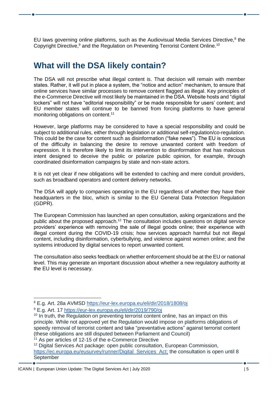EU laws governing online platforms, such as the Audiovisual Media Services Directive,<sup>8</sup> the Copyright Directive,<sup>9</sup> and the Regulation on Preventing Terrorist Content Online.<sup>10</sup>

#### <span id="page-4-0"></span>**What will the DSA likely contain?**

The DSA will not prescribe what illegal content is. That decision will remain with member states. Rather, it will put in place a system, the "notice and action" mechanism, to ensure that online services have similar processes to remove content flagged as illegal. Key principles of the e-Commerce Directive will most likely be maintained in the DSA. Website hosts and "digital lockers" will not have "editorial responsibility" or be made responsible for users' content; and EU member states will continue to be banned from forcing platforms to have general monitoring obligations on content.<sup>11</sup>

However, large platforms may be considered to have a special responsibility and could be subject to additional rules, either through legislation or additional self-regulation/co-regulation. This could be the case for content such as disinformation ("fake news"). The EU is conscious of the difficulty in balancing the desire to remove unwanted content with freedom of expression. It is therefore likely to limit its intervention to disinformation that has malicious intent designed to deceive the public or polarize public opinion, for example, through coordinated disinformation campaigns by state and non-state actors.

It is not yet clear if new obligations will be extended to caching and mere conduit providers, such as broadband operators and content delivery networks.

The DSA will apply to companies operating in the EU regardless of whether they have their headquarters in the bloc, which is similar to the EU General Data Protection Regulation (GDPR).

The European Commission has launched an open consultation, asking organizations and the public about the proposed approach.<sup>12</sup> The consultation includes questions on digital service providers' experience with removing the sale of illegal goods online; their experience with illegal content during the COVID-19 crisis; how services approach harmful but not illegal content, including disinformation, cyberbullying, and violence against women online; and the systems introduced by digital services to report unwanted content.

The consultation also seeks feedback on whether enforcement should be at the EU or national level. This may generate an important discussion about whether a new regulatory authority at the EU level is necessary.

<sup>11</sup> As per articles of 12-15 of the e-Commerce Directive

<sup>8</sup> E.g. Art. 28a AVMSD <https://eur-lex.europa.eu/eli/dir/2018/1808/oj>

<sup>9</sup> E.g. Art. 1[7](https://eur-lex.europa.eu/eli/dir/2019/790/oj) <https://eur-lex.europa.eu/eli/dir/2019/790/oj>

<sup>&</sup>lt;sup>10</sup> In truth, the Regulation on preventing terrorist content online, has an impact on this principle. While not approved yet the Regulation would impose on platforms obligations of speedy removal of terrorist content and take "preventative actions" against terrorist content (these obligations are still disputed between Parliament and Council)

<sup>&</sup>lt;sup>12</sup> Digital Services Act package: open public consultation[,](https://ec.europa.eu/eusurvey/runner/Digital_Services_Act) European Commission, [https://ec.europa.eu/eusurvey/runner/Digital\\_Services\\_Act;](https://ec.europa.eu/eusurvey/runner/Digital_Services_Act) the consultation is open until 8 **September**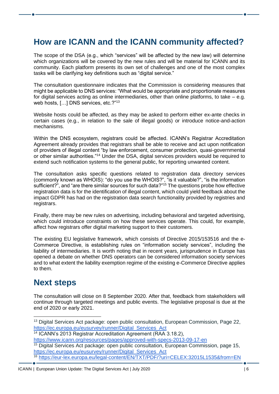### <span id="page-5-0"></span>**How are ICANN and the ICANN community affected?**

The scope of the DSA (e.g., which "services" will be affected by the new law) will determine which organizations will be covered by the new rules and will be material for ICANN and its community. Each platform presents its own set of challenges and one of the most complex tasks will be clarifying key definitions such as "digital service."

The consultation questionnaire indicates that the Commission is considering measures that might be applicable to DNS services: "What would be appropriate and proportionate measures for digital services acting as online intermediaries, other than online platforms, to take – e.g. web hosts, [...] DNS services, etc.?"<sup>13</sup>

Website hosts could be affected, as they may be asked to perform either ex-ante checks in certain cases (e.g., in relation to the sale of illegal goods) or introduce notice-and-action mechanisms.

Within the DNS ecosystem, registrars could be affected. ICANN's Registrar Accreditation Agreement already provides that registrars shall be able to receive and act upon notification of providers of illegal content "by law enforcement, consumer protection, quasi-governmental or other similar authorities."<sup>14</sup> Under the DSA, digital services providers would be required to extend such notification systems to the general public, for reporting unwanted content.

The consultation asks specific questions related to registration data directory services (commonly known as WHOIS): "do you use the WHOIS?", "is it valuable?", "is the information sufficient?", and "are there similar sources for such data?"<sup>15</sup> The questions probe how effective registration data is for the identification of illegal content, which could yield feedback about the impact GDPR has had on the registration data search functionality provided by registries and registrars.

Finally, there may be new rules on advertising, including behavioral and targeted advertising, which could introduce constraints on how these services operate. This could, for example, affect how registrars offer digital marketing support to their customers.

The existing EU legislative framework, which consists of Directive 2015/153516 and the e-Commerce Directive, is establishing rules on "information society services", including the liability of intermediaries. It is worth noting that in recent years, jurisprudence in Europe has opened a debate on whether DNS operators can be considered information society services and to what extent the liability exemption regime of the existing e-Commerce Directive applies to them.

#### <span id="page-5-1"></span>**Next steps**

The consultation will close on 8 September 2020. After that, feedback from stakeholders will continue through targeted meetings and public events. The legislative proposal is due at the end of 2020 or early 2021.

<sup>&</sup>lt;sup>13</sup> Digital Services Act package: open public consultation[,](https://ec.europa.eu/eusurvey/runner/Digital_Services_Act) European Commission, Page 22, https://ec.europa.eu/eusurvey/runner/Digital Services Act

<sup>14</sup> ICANN's 2013 Registrar Accreditation Agreement (RAA 3.18.2)[,](https://www.icann.org/resources/pages/approved-with-specs-2013-09-17-en)

<https://www.icann.org/resources/pages/approved-with-specs-2013-09-17-en>

 $15$  Digital Services Act package: open public consultation[,](https://ec.europa.eu/eusurvey/runner/Digital_Services_Act) European Commission, page 15, [https://ec.europa.eu/eusurvey/runner/Digital\\_Services\\_Act](https://ec.europa.eu/eusurvey/runner/Digital_Services_Act)

<sup>16</sup> <https://eur-lex.europa.eu/legal-content/EN/TXT/PDF/?uri=CELEX:32015L1535&from=EN>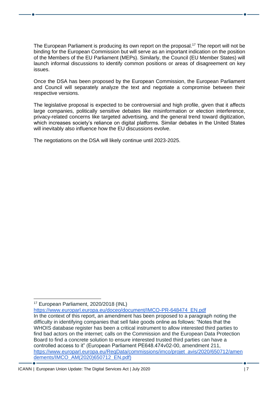The European Parliament is producing its own report on the proposal.<sup>17</sup> The report will not be binding for the European Commission but will serve as an important indication on the position of the Members of the EU Parliament (MEPs). Similarly, the Council (EU Member States) will launch informal discussions to identify common positions or areas of disagreement on key issues.

Once the DSA has been proposed by the European Commission, the European Parliament and Council will separately analyze the text and negotiate a compromise between their respective versions.

The legislative proposal is expected to be controversial and high profile, given that it affects large companies, politically sensitive debates like misinformation or election interference, privacy-related concerns like targeted advertising, and the general trend toward digitization, which increases society's reliance on digital platforms. Similar debates in the United States will inevitably also influence how the EU discussions evolve.

The negotiations on the DSA will likely continue until 2023-2025.

[https://www.europarl.europa.eu/doceo/document/IMCO-PR-648474\\_EN.pdf](https://www.europarl.europa.eu/doceo/document/IMCO-PR-648474_EN.pdf)

<sup>17</sup> European Parliament, 2020/2018 (INL)

In the context of this report, an amendment has been proposed to a paragraph noting the difficulty in identifying companies that sell fake goods online as follows: "Notes that the WHOIS database register has been a critical instrument to allow interested third parties to find bad actors on the internet; calls on the Commission and the European Data Protection Board to find a concrete solution to ensure interested trusted third parties can have a controlled access to it" (European Parliament PE648.474v02-00, amendment 211, [https://www.europarl.europa.eu/RegData/commissions/imco/projet\\_avis/2020/650712/amen](https://www.europarl.europa.eu/RegData/commissions/imco/projet_avis/2020/650712/amendements/IMCO_AM(2020)650712_EN.pdf) [dements/IMCO\\_AM\(2020\)650712\\_EN.pdf\)](https://www.europarl.europa.eu/RegData/commissions/imco/projet_avis/2020/650712/amendements/IMCO_AM(2020)650712_EN.pdf)